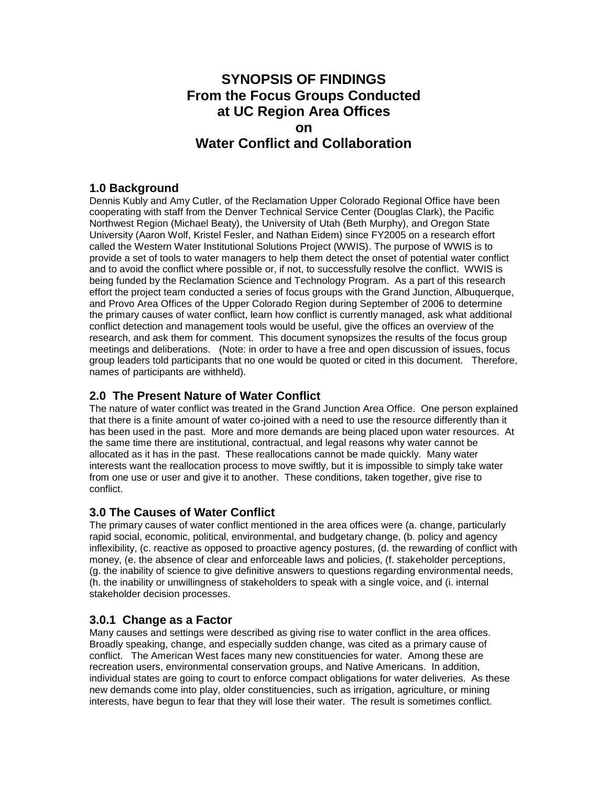# **SYNOPSIS OF FINDINGS From the Focus Groups Conducted at UC Region Area Offices on Water Conflict and Collaboration**

#### **1.0 Background**

Dennis Kubly and Amy Cutler, of the Reclamation Upper Colorado Regional Office have been cooperating with staff from the Denver Technical Service Center (Douglas Clark), the Pacific Northwest Region (Michael Beaty), the University of Utah (Beth Murphy), and Oregon State University (Aaron Wolf, Kristel Fesler, and Nathan Eidem) since FY2005 on a research effort called the Western Water Institutional Solutions Project (WWIS). The purpose of WWIS is to provide a set of tools to water managers to help them detect the onset of potential water conflict and to avoid the conflict where possible or, if not, to successfully resolve the conflict. WWIS is being funded by the Reclamation Science and Technology Program. As a part of this research effort the project team conducted a series of focus groups with the Grand Junction, Albuquerque, and Provo Area Offices of the Upper Colorado Region during September of 2006 to determine the primary causes of water conflict, learn how conflict is currently managed, ask what additional conflict detection and management tools would be useful, give the offices an overview of the research, and ask them for comment. This document synopsizes the results of the focus group meetings and deliberations. (Note: in order to have a free and open discussion of issues, focus group leaders told participants that no one would be quoted or cited in this document. Therefore, names of participants are withheld).

## **2.0 The Present Nature of Water Conflict**

The nature of water conflict was treated in the Grand Junction Area Office. One person explained that there is a finite amount of water co-joined with a need to use the resource differently than it has been used in the past. More and more demands are being placed upon water resources. At the same time there are institutional, contractual, and legal reasons why water cannot be allocated as it has in the past. These reallocations cannot be made quickly. Many water interests want the reallocation process to move swiftly, but it is impossible to simply take water from one use or user and give it to another. These conditions, taken together, give rise to conflict.

# **3.0 The Causes of Water Conflict**

The primary causes of water conflict mentioned in the area offices were (a. change, particularly rapid social, economic, political, environmental, and budgetary change, (b. policy and agency inflexibility, (c. reactive as opposed to proactive agency postures, (d. the rewarding of conflict with money, (e. the absence of clear and enforceable laws and policies, (f. stakeholder perceptions, (g. the inability of science to give definitive answers to questions regarding environmental needs, (h. the inability or unwillingness of stakeholders to speak with a single voice, and (i. internal stakeholder decision processes.

# **3.0.1 Change as a Factor**

Many causes and settings were described as giving rise to water conflict in the area offices. Broadly speaking, change, and especially sudden change, was cited as a primary cause of conflict. The American West faces many new constituencies for water. Among these are recreation users, environmental conservation groups, and Native Americans. In addition, individual states are going to court to enforce compact obligations for water deliveries. As these new demands come into play, older constituencies, such as irrigation, agriculture, or mining interests, have begun to fear that they will lose their water. The result is sometimes conflict.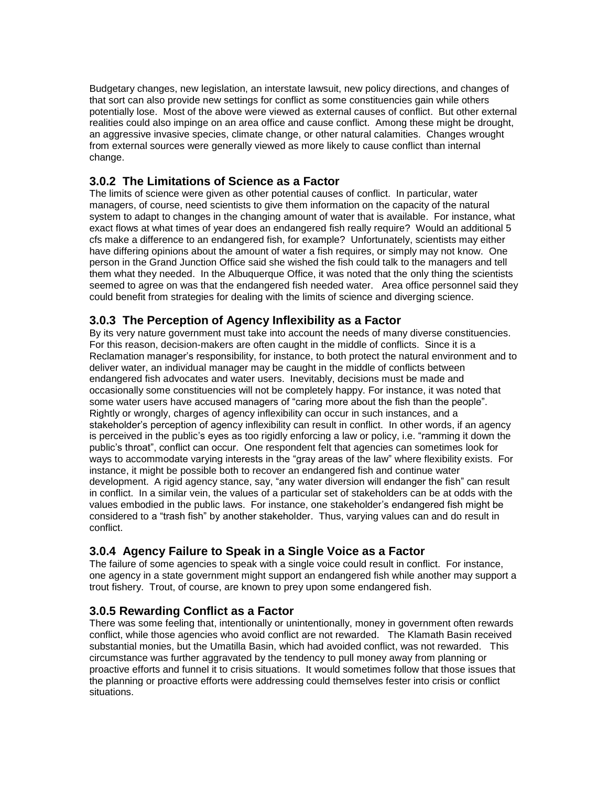Budgetary changes, new legislation, an interstate lawsuit, new policy directions, and changes of that sort can also provide new settings for conflict as some constituencies gain while others potentially lose. Most of the above were viewed as external causes of conflict. But other external realities could also impinge on an area office and cause conflict. Among these might be drought, an aggressive invasive species, climate change, or other natural calamities. Changes wrought from external sources were generally viewed as more likely to cause conflict than internal change.

#### **3.0.2 The Limitations of Science as a Factor**

The limits of science were given as other potential causes of conflict. In particular, water managers, of course, need scientists to give them information on the capacity of the natural system to adapt to changes in the changing amount of water that is available. For instance, what exact flows at what times of year does an endangered fish really require? Would an additional 5 cfs make a difference to an endangered fish, for example? Unfortunately, scientists may either have differing opinions about the amount of water a fish requires, or simply may not know. One person in the Grand Junction Office said she wished the fish could talk to the managers and tell them what they needed. In the Albuquerque Office, it was noted that the only thing the scientists seemed to agree on was that the endangered fish needed water. Area office personnel said they could benefit from strategies for dealing with the limits of science and diverging science.

#### **3.0.3 The Perception of Agency Inflexibility as a Factor**

By its very nature government must take into account the needs of many diverse constituencies. For this reason, decision-makers are often caught in the middle of conflicts. Since it is a Reclamation manager's responsibility, for instance, to both protect the natural environment and to deliver water, an individual manager may be caught in the middle of conflicts between endangered fish advocates and water users. Inevitably, decisions must be made and occasionally some constituencies will not be completely happy. For instance, it was noted that some water users have accused managers of "caring more about the fish than the people". Rightly or wrongly, charges of agency inflexibility can occur in such instances, and a stakeholder's perception of agency inflexibility can result in conflict. In other words, if an agency is perceived in the public's eyes as too rigidly enforcing a law or policy, i.e. "ramming it down the public's throat", conflict can occur. One respondent felt that agencies can sometimes look for ways to accommodate varying interests in the "gray areas of the law" where flexibility exists. For instance, it might be possible both to recover an endangered fish and continue water development. A rigid agency stance, say, "any water diversion will endanger the fish" can result in conflict. In a similar vein, the values of a particular set of stakeholders can be at odds with the values embodied in the public laws. For instance, one stakeholder's endangered fish might be considered to a "trash fish" by another stakeholder. Thus, varying values can and do result in conflict.

# **3.0.4 Agency Failure to Speak in a Single Voice as a Factor**

The failure of some agencies to speak with a single voice could result in conflict. For instance, one agency in a state government might support an endangered fish while another may support a trout fishery. Trout, of course, are known to prey upon some endangered fish.

# **3.0.5 Rewarding Conflict as a Factor**

There was some feeling that, intentionally or unintentionally, money in government often rewards conflict, while those agencies who avoid conflict are not rewarded. The Klamath Basin received substantial monies, but the Umatilla Basin, which had avoided conflict, was not rewarded. This circumstance was further aggravated by the tendency to pull money away from planning or proactive efforts and funnel it to crisis situations. It would sometimes follow that those issues that the planning or proactive efforts were addressing could themselves fester into crisis or conflict situations.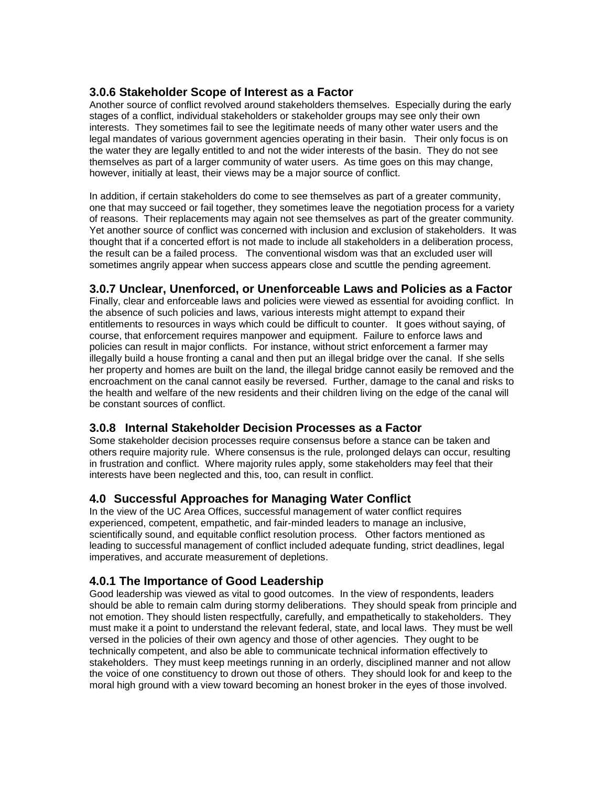## **3.0.6 Stakeholder Scope of Interest as a Factor**

Another source of conflict revolved around stakeholders themselves. Especially during the early stages of a conflict, individual stakeholders or stakeholder groups may see only their own interests. They sometimes fail to see the legitimate needs of many other water users and the legal mandates of various government agencies operating in their basin. Their only focus is on the water they are legally entitled to and not the wider interests of the basin. They do not see themselves as part of a larger community of water users. As time goes on this may change, however, initially at least, their views may be a major source of conflict.

In addition, if certain stakeholders do come to see themselves as part of a greater community, one that may succeed or fail together, they sometimes leave the negotiation process for a variety of reasons. Their replacements may again not see themselves as part of the greater community. Yet another source of conflict was concerned with inclusion and exclusion of stakeholders. It was thought that if a concerted effort is not made to include all stakeholders in a deliberation process, the result can be a failed process. The conventional wisdom was that an excluded user will sometimes angrily appear when success appears close and scuttle the pending agreement.

# **3.0.7 Unclear, Unenforced, or Unenforceable Laws and Policies as a Factor**

Finally, clear and enforceable laws and policies were viewed as essential for avoiding conflict. In the absence of such policies and laws, various interests might attempt to expand their entitlements to resources in ways which could be difficult to counter. It goes without saying, of course, that enforcement requires manpower and equipment. Failure to enforce laws and policies can result in major conflicts. For instance, without strict enforcement a farmer may illegally build a house fronting a canal and then put an illegal bridge over the canal. If she sells her property and homes are built on the land, the illegal bridge cannot easily be removed and the encroachment on the canal cannot easily be reversed. Further, damage to the canal and risks to the health and welfare of the new residents and their children living on the edge of the canal will be constant sources of conflict.

# **3.0.8 Internal Stakeholder Decision Processes as a Factor**

Some stakeholder decision processes require consensus before a stance can be taken and others require majority rule. Where consensus is the rule, prolonged delays can occur, resulting in frustration and conflict. Where majority rules apply, some stakeholders may feel that their interests have been neglected and this, too, can result in conflict.

# **4.0 Successful Approaches for Managing Water Conflict**

In the view of the UC Area Offices, successful management of water conflict requires experienced, competent, empathetic, and fair-minded leaders to manage an inclusive, scientifically sound, and equitable conflict resolution process. Other factors mentioned as leading to successful management of conflict included adequate funding, strict deadlines, legal imperatives, and accurate measurement of depletions.

# **4.0.1 The Importance of Good Leadership**

Good leadership was viewed as vital to good outcomes. In the view of respondents, leaders should be able to remain calm during stormy deliberations. They should speak from principle and not emotion. They should listen respectfully, carefully, and empathetically to stakeholders. They must make it a point to understand the relevant federal, state, and local laws. They must be well versed in the policies of their own agency and those of other agencies. They ought to be technically competent, and also be able to communicate technical information effectively to stakeholders. They must keep meetings running in an orderly, disciplined manner and not allow the voice of one constituency to drown out those of others. They should look for and keep to the moral high ground with a view toward becoming an honest broker in the eyes of those involved.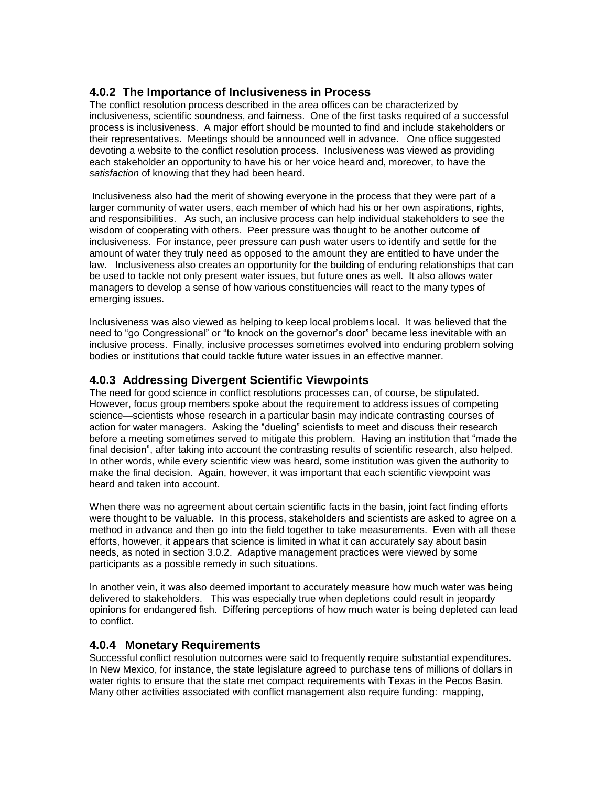## **4.0.2 The Importance of Inclusiveness in Process**

The conflict resolution process described in the area offices can be characterized by inclusiveness, scientific soundness, and fairness. One of the first tasks required of a successful process is inclusiveness. A major effort should be mounted to find and include stakeholders or their representatives. Meetings should be announced well in advance. One office suggested devoting a website to the conflict resolution process. Inclusiveness was viewed as providing each stakeholder an opportunity to have his or her voice heard and, moreover, to have the *satisfaction* of knowing that they had been heard.

Inclusiveness also had the merit of showing everyone in the process that they were part of a larger community of water users, each member of which had his or her own aspirations, rights, and responsibilities. As such, an inclusive process can help individual stakeholders to see the wisdom of cooperating with others. Peer pressure was thought to be another outcome of inclusiveness. For instance, peer pressure can push water users to identify and settle for the amount of water they truly need as opposed to the amount they are entitled to have under the law. Inclusiveness also creates an opportunity for the building of enduring relationships that can be used to tackle not only present water issues, but future ones as well. It also allows water managers to develop a sense of how various constituencies will react to the many types of emerging issues.

Inclusiveness was also viewed as helping to keep local problems local. It was believed that the need to "go Congressional" or "to knock on the governor's door" became less inevitable with an inclusive process. Finally, inclusive processes sometimes evolved into enduring problem solving bodies or institutions that could tackle future water issues in an effective manner.

#### **4.0.3 Addressing Divergent Scientific Viewpoints**

The need for good science in conflict resolutions processes can, of course, be stipulated. However, focus group members spoke about the requirement to address issues of competing science—scientists whose research in a particular basin may indicate contrasting courses of action for water managers. Asking the "dueling" scientists to meet and discuss their research before a meeting sometimes served to mitigate this problem. Having an institution that "made the final decision", after taking into account the contrasting results of scientific research, also helped. In other words, while every scientific view was heard, some institution was given the authority to make the final decision. Again, however, it was important that each scientific viewpoint was heard and taken into account.

When there was no agreement about certain scientific facts in the basin, joint fact finding efforts were thought to be valuable. In this process, stakeholders and scientists are asked to agree on a method in advance and then go into the field together to take measurements. Even with all these efforts, however, it appears that science is limited in what it can accurately say about basin needs, as noted in section 3.0.2. Adaptive management practices were viewed by some participants as a possible remedy in such situations.

In another vein, it was also deemed important to accurately measure how much water was being delivered to stakeholders. This was especially true when depletions could result in jeopardy opinions for endangered fish. Differing perceptions of how much water is being depleted can lead to conflict.

#### **4.0.4 Monetary Requirements**

Successful conflict resolution outcomes were said to frequently require substantial expenditures. In New Mexico, for instance, the state legislature agreed to purchase tens of millions of dollars in water rights to ensure that the state met compact requirements with Texas in the Pecos Basin. Many other activities associated with conflict management also require funding: mapping,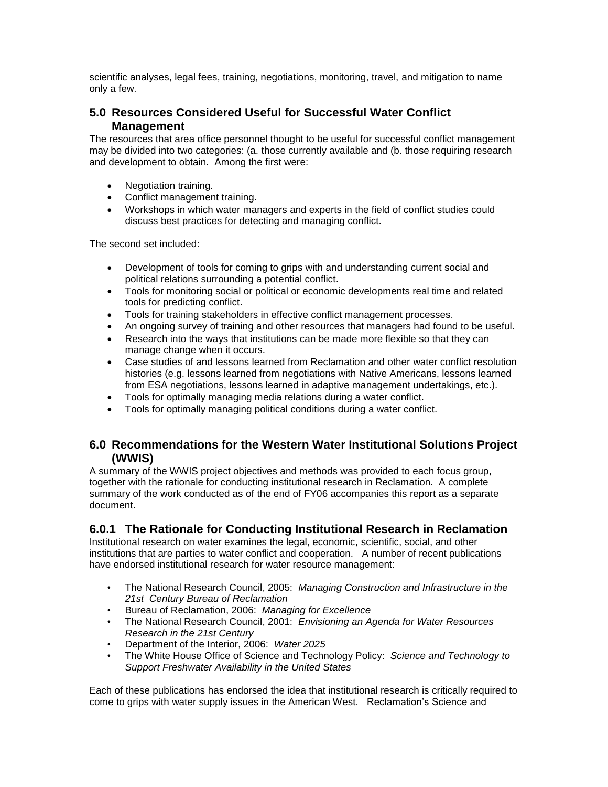scientific analyses, legal fees, training, negotiations, monitoring, travel, and mitigation to name only a few.

### **5.0 Resources Considered Useful for Successful Water Conflict Management**

The resources that area office personnel thought to be useful for successful conflict management may be divided into two categories: (a. those currently available and (b. those requiring research and development to obtain. Among the first were:

- Negotiation training.
- Conflict management training.
- Workshops in which water managers and experts in the field of conflict studies could discuss best practices for detecting and managing conflict.

The second set included:

- Development of tools for coming to grips with and understanding current social and political relations surrounding a potential conflict.
- Tools for monitoring social or political or economic developments real time and related tools for predicting conflict.
- Tools for training stakeholders in effective conflict management processes.
- An ongoing survey of training and other resources that managers had found to be useful.
- Research into the ways that institutions can be made more flexible so that they can manage change when it occurs.
- Case studies of and lessons learned from Reclamation and other water conflict resolution histories (e.g. lessons learned from negotiations with Native Americans, lessons learned from ESA negotiations, lessons learned in adaptive management undertakings, etc.).
- Tools for optimally managing media relations during a water conflict.
- Tools for optimally managing political conditions during a water conflict.

#### **6.0 Recommendations for the Western Water Institutional Solutions Project (WWIS)**

A summary of the WWIS project objectives and methods was provided to each focus group, together with the rationale for conducting institutional research in Reclamation. A complete summary of the work conducted as of the end of FY06 accompanies this report as a separate document.

# **6.0.1 The Rationale for Conducting Institutional Research in Reclamation**

Institutional research on water examines the legal, economic, scientific, social, and other institutions that are parties to water conflict and cooperation. A number of recent publications have endorsed institutional research for water resource management:

- The National Research Council, 2005: *Managing Construction and Infrastructure in the 21st Century Bureau of Reclamation*
- Bureau of Reclamation, 2006: *Managing for Excellence*
- The National Research Council, 2001: *Envisioning an Agenda for Water Resources Research in the 21st Century*
- Department of the Interior, 2006: *Water 2025*
- The White House Office of Science and Technology Policy: *Science and Technology to Support Freshwater Availability in the United States*

Each of these publications has endorsed the idea that institutional research is critically required to come to grips with water supply issues in the American West. Reclamation's Science and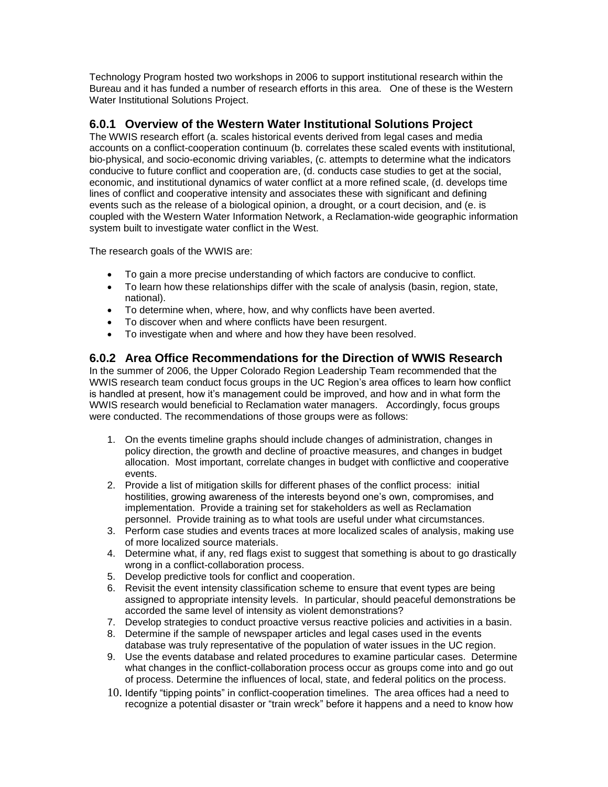Technology Program hosted two workshops in 2006 to support institutional research within the Bureau and it has funded a number of research efforts in this area. One of these is the Western Water Institutional Solutions Project.

## **6.0.1 Overview of the Western Water Institutional Solutions Project**

The WWIS research effort (a. scales historical events derived from legal cases and media accounts on a conflict-cooperation continuum (b. correlates these scaled events with institutional, bio-physical, and socio-economic driving variables, (c. attempts to determine what the indicators conducive to future conflict and cooperation are, (d. conducts case studies to get at the social, economic, and institutional dynamics of water conflict at a more refined scale, (d. develops time lines of conflict and cooperative intensity and associates these with significant and defining events such as the release of a biological opinion, a drought, or a court decision, and (e. is coupled with the Western Water Information Network, a Reclamation-wide geographic information system built to investigate water conflict in the West.

The research goals of the WWIS are:

- To gain a more precise understanding of which factors are conducive to conflict.
- To learn how these relationships differ with the scale of analysis (basin, region, state, national).
- To determine when, where, how, and why conflicts have been averted.
- To discover when and where conflicts have been resurgent.
- To investigate when and where and how they have been resolved.

#### **6.0.2 Area Office Recommendations for the Direction of WWIS Research**

In the summer of 2006, the Upper Colorado Region Leadership Team recommended that the WWIS research team conduct focus groups in the UC Region's area offices to learn how conflict is handled at present, how it's management could be improved, and how and in what form the WWIS research would beneficial to Reclamation water managers. Accordingly, focus groups were conducted. The recommendations of those groups were as follows:

- 1. On the events timeline graphs should include changes of administration, changes in policy direction, the growth and decline of proactive measures, and changes in budget allocation. Most important, correlate changes in budget with conflictive and cooperative events.
- 2. Provide a list of mitigation skills for different phases of the conflict process: initial hostilities, growing awareness of the interests beyond one's own, compromises, and implementation. Provide a training set for stakeholders as well as Reclamation personnel. Provide training as to what tools are useful under what circumstances.
- 3. Perform case studies and events traces at more localized scales of analysis, making use of more localized source materials.
- 4. Determine what, if any, red flags exist to suggest that something is about to go drastically wrong in a conflict-collaboration process.
- 5. Develop predictive tools for conflict and cooperation.
- 6. Revisit the event intensity classification scheme to ensure that event types are being assigned to appropriate intensity levels. In particular, should peaceful demonstrations be accorded the same level of intensity as violent demonstrations?
- 7. Develop strategies to conduct proactive versus reactive policies and activities in a basin.
- 8. Determine if the sample of newspaper articles and legal cases used in the events database was truly representative of the population of water issues in the UC region.
- 9. Use the events database and related procedures to examine particular cases. Determine what changes in the conflict-collaboration process occur as groups come into and go out of process. Determine the influences of local, state, and federal politics on the process.
- 10. Identify "tipping points" in conflict-cooperation timelines. The area offices had a need to recognize a potential disaster or "train wreck" before it happens and a need to know how